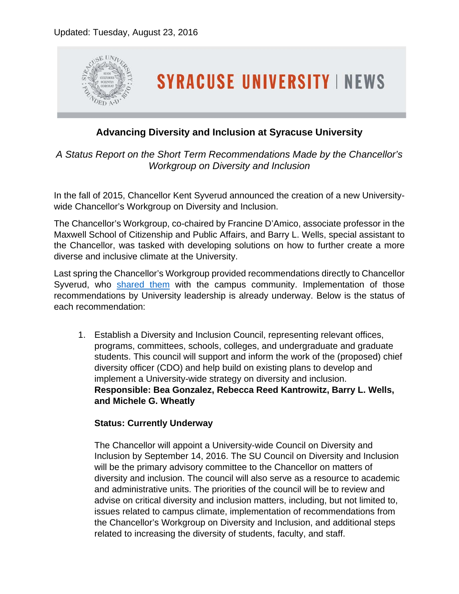

# **Advancing Diversity and Inclusion at Syracuse University**

*A Status Report on the Short Term Recommendations Made by the Chancellor's Workgroup on Diversity and Inclusion*

In the fall of 2015, Chancellor Kent Syverud announced the creation of a new Universitywide Chancellor's Workgroup on Diversity and Inclusion.

The Chancellor's Workgroup, co-chaired by Francine D'Amico, associate professor in the Maxwell School of Citizenship and Public Affairs, and Barry L. Wells, special assistant to the Chancellor, was tasked with developing solutions on how to further create a more diverse and inclusive climate at the University.

Last spring the Chancellor's Workgroup provided recommendations directly to Chancellor Syverud, who [shared them](http://news.syr.edu/chancellors-workgroup-on-diversity-inclusion-report-shared-with-the-university-community-35037/) with the campus community. Implementation of those recommendations by University leadership is already underway. Below is the status of each recommendation:

1. Establish a Diversity and Inclusion Council, representing relevant offices, programs, committees, schools, colleges, and undergraduate and graduate students. This council will support and inform the work of the (proposed) chief diversity officer (CDO) and help build on existing plans to develop and implement a University-wide strategy on diversity and inclusion. **Responsible: Bea Gonzalez, Rebecca Reed Kantrowitz, Barry L. Wells, and Michele G. Wheatly**

# **Status: Currently Underway**

The Chancellor will appoint a University-wide Council on Diversity and Inclusion by September 14, 2016. The SU Council on Diversity and Inclusion will be the primary advisory committee to the Chancellor on matters of diversity and inclusion. The council will also serve as a resource to academic and administrative units. The priorities of the council will be to review and advise on critical diversity and inclusion matters, including, but not limited to, issues related to campus climate, implementation of recommendations from the Chancellor's Workgroup on Diversity and Inclusion, and additional steps related to increasing the diversity of students, faculty, and staff.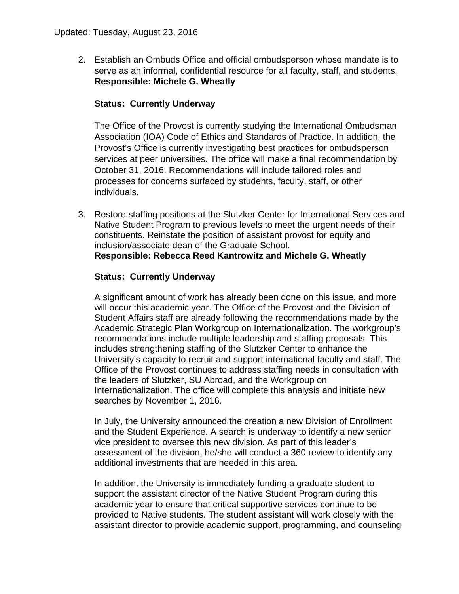2. Establish an Ombuds Office and official ombudsperson whose mandate is to serve as an informal, confidential resource for all faculty, staff, and students. **Responsible: Michele G. Wheatly**

### **Status: Currently Underway**

The Office of the Provost is currently studying the International Ombudsman Association (IOA) Code of Ethics and Standards of Practice. In addition, the Provost's Office is currently investigating best practices for ombudsperson services at peer universities. The office will make a final recommendation by October 31, 2016. Recommendations will include tailored roles and processes for concerns surfaced by students, faculty, staff, or other individuals.

3. Restore staffing positions at the Slutzker Center for International Services and Native Student Program to previous levels to meet the urgent needs of their constituents. Reinstate the position of assistant provost for equity and inclusion/associate dean of the Graduate School. **Responsible: Rebecca Reed Kantrowitz and Michele G. Wheatly**

### **Status: Currently Underway**

A significant amount of work has already been done on this issue, and more will occur this academic year. The Office of the Provost and the Division of Student Affairs staff are already following the recommendations made by the Academic Strategic Plan Workgroup on Internationalization. The workgroup's recommendations include multiple leadership and staffing proposals. This includes strengthening staffing of the Slutzker Center to enhance the University's capacity to recruit and support international faculty and staff. The Office of the Provost continues to address staffing needs in consultation with the leaders of Slutzker, SU Abroad, and the Workgroup on Internationalization. The office will complete this analysis and initiate new searches by November 1, 2016.

In July, the University announced the creation a new Division of Enrollment and the Student Experience. A search is underway to identify a new senior vice president to oversee this new division. As part of this leader's assessment of the division, he/she will conduct a 360 review to identify any additional investments that are needed in this area.

In addition, the University is immediately funding a graduate student to support the assistant director of the Native Student Program during this academic year to ensure that critical supportive services continue to be provided to Native students. The student assistant will work closely with the assistant director to provide academic support, programming, and counseling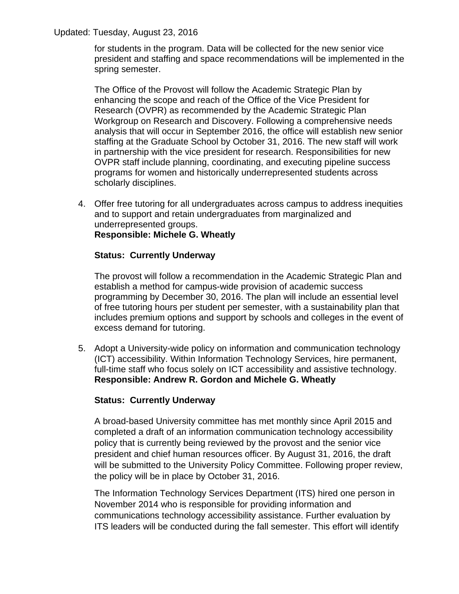for students in the program. Data will be collected for the new senior vice president and staffing and space recommendations will be implemented in the spring semester.

The Office of the Provost will follow the Academic Strategic Plan by enhancing the scope and reach of the Office of the Vice President for Research (OVPR) as recommended by the Academic Strategic Plan Workgroup on Research and Discovery. Following a comprehensive needs analysis that will occur in September 2016, the office will establish new senior staffing at the Graduate School by October 31, 2016. The new staff will work in partnership with the vice president for research. Responsibilities for new OVPR staff include planning, coordinating, and executing pipeline success programs for women and historically underrepresented students across scholarly disciplines.

4. Offer free tutoring for all undergraduates across campus to address inequities and to support and retain undergraduates from marginalized and underrepresented groups. **Responsible: Michele G. Wheatly**

### **Status: Currently Underway**

The provost will follow a recommendation in the Academic Strategic Plan and establish a method for campus-wide provision of academic success programming by December 30, 2016. The plan will include an essential level of free tutoring hours per student per semester, with a sustainability plan that includes premium options and support by schools and colleges in the event of excess demand for tutoring.

5. Adopt a University-wide policy on information and communication technology (ICT) accessibility. Within Information Technology Services, hire permanent, full-time staff who focus solely on ICT accessibility and assistive technology. **Responsible: Andrew R. Gordon and Michele G. Wheatly**

### **Status: Currently Underway**

A broad-based University committee has met monthly since April 2015 and completed a draft of an information communication technology accessibility policy that is currently being reviewed by the provost and the senior vice president and chief human resources officer. By August 31, 2016, the draft will be submitted to the University Policy Committee. Following proper review, the policy will be in place by October 31, 2016.

The Information Technology Services Department (ITS) hired one person in November 2014 who is responsible for providing information and communications technology accessibility assistance. Further evaluation by ITS leaders will be conducted during the fall semester. This effort will identify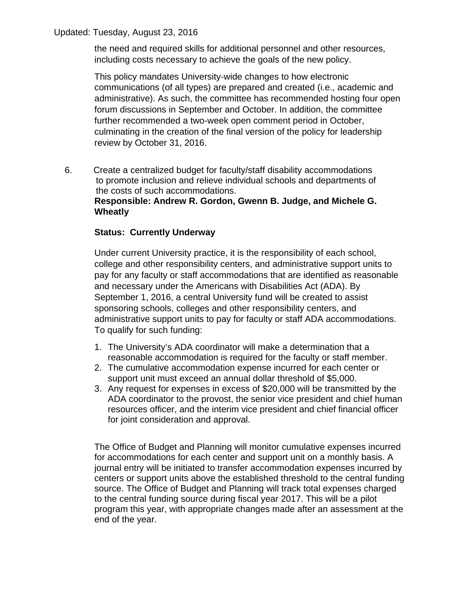the need and required skills for additional personnel and other resources, including costs necessary to achieve the goals of the new policy.

This policy mandates University-wide changes to how electronic communications (of all types) are prepared and created (i.e., academic and administrative). As such, the committee has recommended hosting four open forum discussions in September and October. In addition, the committee further recommended a two-week open comment period in October, culminating in the creation of the final version of the policy for leadership review by October 31, 2016.

6. Create a centralized budget for faculty/staff disability accommodations to promote inclusion and relieve individual schools and departments of the costs of such accommodations. **Responsible: Andrew R. Gordon, Gwenn B. Judge, and Michele G. Wheatly**

# **Status: Currently Underway**

Under current University practice, it is the responsibility of each school, college and other responsibility centers, and administrative support units to pay for any faculty or staff accommodations that are identified as reasonable and necessary under the Americans with Disabilities Act (ADA). By September 1, 2016, a central University fund will be created to assist sponsoring schools, colleges and other responsibility centers, and administrative support units to pay for faculty or staff ADA accommodations. To qualify for such funding:

- 1. The University's ADA coordinator will make a determination that a reasonable accommodation is required for the faculty or staff member.
- 2. The cumulative accommodation expense incurred for each center or support unit must exceed an annual dollar threshold of \$5,000.
- 3. Any request for expenses in excess of \$20,000 will be transmitted by the ADA coordinator to the provost, the senior vice president and chief human resources officer, and the interim vice president and chief financial officer for joint consideration and approval.

The Office of Budget and Planning will monitor cumulative expenses incurred for accommodations for each center and support unit on a monthly basis. A journal entry will be initiated to transfer accommodation expenses incurred by centers or support units above the established threshold to the central funding source. The Office of Budget and Planning will track total expenses charged to the central funding source during fiscal year 2017. This will be a pilot program this year, with appropriate changes made after an assessment at the end of the year.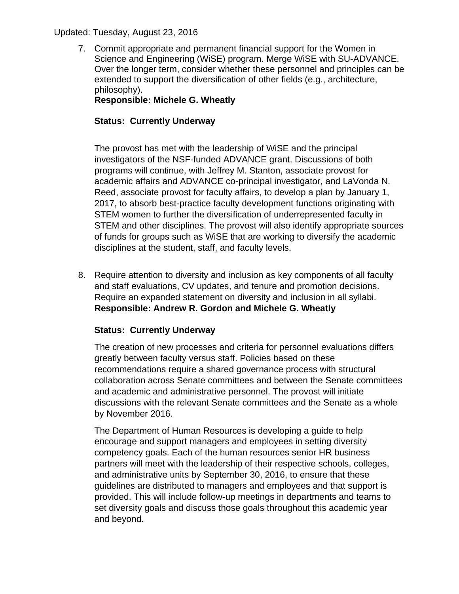7. Commit appropriate and permanent financial support for the Women in Science and Engineering (WiSE) program. Merge WiSE with SU-ADVANCE. Over the longer term, consider whether these personnel and principles can be extended to support the diversification of other fields (e.g., architecture, philosophy).

# **Responsible: Michele G. Wheatly**

# **Status: Currently Underway**

The provost has met with the leadership of WiSE and the principal investigators of the NSF-funded ADVANCE grant. Discussions of both programs will continue, with Jeffrey M. Stanton, associate provost for academic affairs and ADVANCE co-principal investigator, and LaVonda N. Reed, associate provost for faculty affairs, to develop a plan by January 1, 2017, to absorb best-practice faculty development functions originating with STEM women to further the diversification of underrepresented faculty in STEM and other disciplines. The provost will also identify appropriate sources of funds for groups such as WiSE that are working to diversify the academic disciplines at the student, staff, and faculty levels.

8. Require attention to diversity and inclusion as key components of all faculty and staff evaluations, CV updates, and tenure and promotion decisions. Require an expanded statement on diversity and inclusion in all syllabi. **Responsible: Andrew R. Gordon and Michele G. Wheatly**

# **Status: Currently Underway**

The creation of new processes and criteria for personnel evaluations differs greatly between faculty versus staff. Policies based on these recommendations require a shared governance process with structural collaboration across Senate committees and between the Senate committees and academic and administrative personnel. The provost will initiate discussions with the relevant Senate committees and the Senate as a whole by November 2016.

The Department of Human Resources is developing a guide to help encourage and support managers and employees in setting diversity competency goals. Each of the human resources senior HR business partners will meet with the leadership of their respective schools, colleges, and administrative units by September 30, 2016, to ensure that these guidelines are distributed to managers and employees and that support is provided. This will include follow-up meetings in departments and teams to set diversity goals and discuss those goals throughout this academic year and beyond.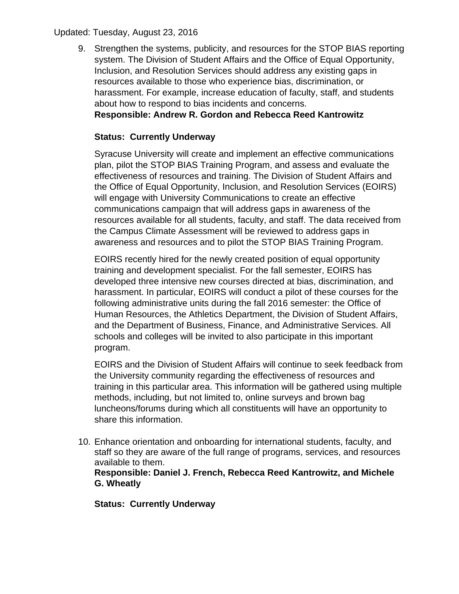9. Strengthen the systems, publicity, and resources for the STOP BIAS reporting system. The Division of Student Affairs and the Office of Equal Opportunity, Inclusion, and Resolution Services should address any existing gaps in resources available to those who experience bias, discrimination, or harassment. For example, increase education of faculty, staff, and students about how to respond to bias incidents and concerns.

# **Responsible: Andrew R. Gordon and Rebecca Reed Kantrowitz**

## **Status: Currently Underway**

Syracuse University will create and implement an effective communications plan, pilot the STOP BIAS Training Program, and assess and evaluate the effectiveness of resources and training. The Division of Student Affairs and the Office of Equal Opportunity, Inclusion, and Resolution Services (EOIRS) will engage with University Communications to create an effective communications campaign that will address gaps in awareness of the resources available for all students, faculty, and staff. The data received from the Campus Climate Assessment will be reviewed to address gaps in awareness and resources and to pilot the STOP BIAS Training Program.

EOIRS recently hired for the newly created position of equal opportunity training and development specialist. For the fall semester, EOIRS has developed three intensive new courses directed at bias, discrimination, and harassment. In particular, EOIRS will conduct a pilot of these courses for the following administrative units during the fall 2016 semester: the Office of Human Resources, the Athletics Department, the Division of Student Affairs, and the Department of Business, Finance, and Administrative Services. All schools and colleges will be invited to also participate in this important program.

EOIRS and the Division of Student Affairs will continue to seek feedback from the University community regarding the effectiveness of resources and training in this particular area. This information will be gathered using multiple methods, including, but not limited to, online surveys and brown bag luncheons/forums during which all constituents will have an opportunity to share this information.

10. Enhance orientation and onboarding for international students, faculty, and staff so they are aware of the full range of programs, services, and resources available to them.

**Responsible: Daniel J. French, Rebecca Reed Kantrowitz, and Michele G. Wheatly**

**Status: Currently Underway**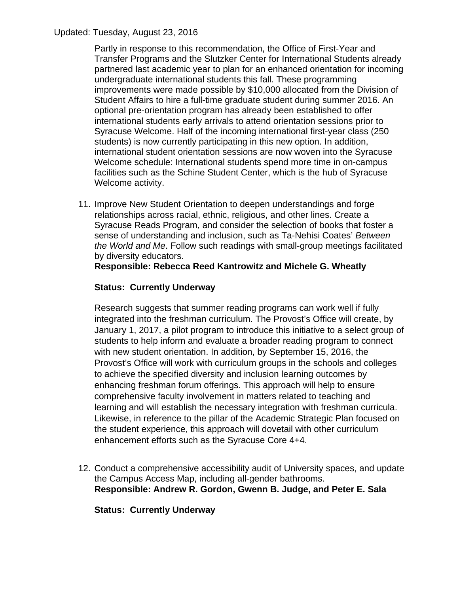Partly in response to this recommendation, the Office of First-Year and Transfer Programs and the Slutzker Center for International Students already partnered last academic year to plan for an enhanced orientation for incoming undergraduate international students this fall. These programming improvements were made possible by \$10,000 allocated from the Division of Student Affairs to hire a full-time graduate student during summer 2016. An optional pre-orientation program has already been established to offer international students early arrivals to attend orientation sessions prior to Syracuse Welcome. Half of the incoming international first-year class (250 students) is now currently participating in this new option. In addition, international student orientation sessions are now woven into the Syracuse Welcome schedule: International students spend more time in on-campus facilities such as the Schine Student Center, which is the hub of Syracuse Welcome activity.

11. Improve New Student Orientation to deepen understandings and forge relationships across racial, ethnic, religious, and other lines. Create a Syracuse Reads Program, and consider the selection of books that foster a sense of understanding and inclusion, such as Ta-Nehisi Coates' *Between the World and Me*. Follow such readings with small-group meetings facilitated by diversity educators.

# **Responsible: Rebecca Reed Kantrowitz and Michele G. Wheatly**

# **Status: Currently Underway**

Research suggests that summer reading programs can work well if fully integrated into the freshman curriculum. The Provost's Office will create, by January 1, 2017, a pilot program to introduce this initiative to a select group of students to help inform and evaluate a broader reading program to connect with new student orientation. In addition, by September 15, 2016, the Provost's Office will work with curriculum groups in the schools and colleges to achieve the specified diversity and inclusion learning outcomes by enhancing freshman forum offerings. This approach will help to ensure comprehensive faculty involvement in matters related to teaching and learning and will establish the necessary integration with freshman curricula. Likewise, in reference to the pillar of the Academic Strategic Plan focused on the student experience, this approach will dovetail with other curriculum enhancement efforts such as the Syracuse Core 4+4.

12. Conduct a comprehensive accessibility audit of University spaces, and update the Campus Access Map, including all-gender bathrooms. **Responsible: Andrew R. Gordon, Gwenn B. Judge, and Peter E. Sala**

# **Status: Currently Underway**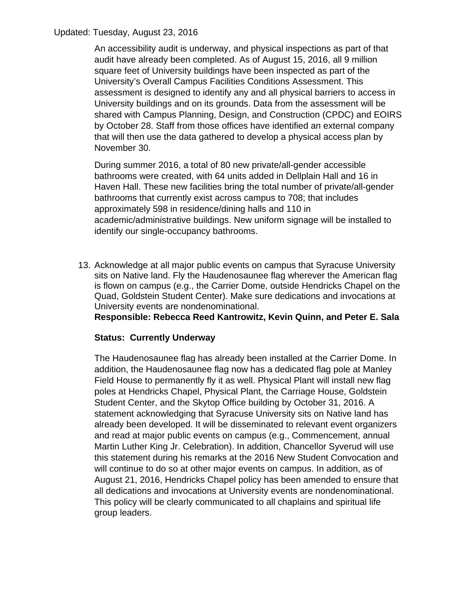An accessibility audit is underway, and physical inspections as part of that audit have already been completed. As of August 15, 2016, all 9 million square feet of University buildings have been inspected as part of the University's Overall Campus Facilities Conditions Assessment. This assessment is designed to identify any and all physical barriers to access in University buildings and on its grounds. Data from the assessment will be shared with Campus Planning, Design, and Construction (CPDC) and EOIRS by October 28. Staff from those offices have identified an external company that will then use the data gathered to develop a physical access plan by November 30.

During summer 2016, a total of 80 new private/all-gender accessible bathrooms were created, with 64 units added in Dellplain Hall and 16 in Haven Hall. These new facilities bring the total number of private/all-gender bathrooms that currently exist across campus to 708; that includes approximately 598 in residence/dining halls and 110 in academic/administrative buildings. New uniform signage will be installed to identify our single-occupancy bathrooms.

13. Acknowledge at all major public events on campus that Syracuse University sits on Native land. Fly the Haudenosaunee flag wherever the American flag is flown on campus (e.g., the Carrier Dome, outside Hendricks Chapel on the Quad, Goldstein Student Center). Make sure dedications and invocations at University events are nondenominational.

**Responsible: Rebecca Reed Kantrowitz, Kevin Quinn, and Peter E. Sala**

# **Status: Currently Underway**

The Haudenosaunee flag has already been installed at the Carrier Dome. In addition, the Haudenosaunee flag now has a dedicated flag pole at Manley Field House to permanently fly it as well. Physical Plant will install new flag poles at Hendricks Chapel, Physical Plant, the Carriage House, Goldstein Student Center, and the Skytop Office building by October 31, 2016. A statement acknowledging that Syracuse University sits on Native land has already been developed. It will be disseminated to relevant event organizers and read at major public events on campus (e.g., Commencement, annual Martin Luther King Jr. Celebration). In addition, Chancellor Syverud will use this statement during his remarks at the 2016 New Student Convocation and will continue to do so at other major events on campus. In addition, as of August 21, 2016, Hendricks Chapel policy has been amended to ensure that all dedications and invocations at University events are nondenominational. This policy will be clearly communicated to all chaplains and spiritual life group leaders.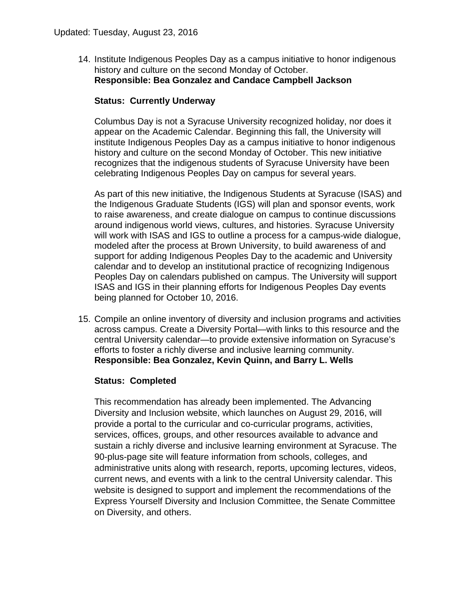14. Institute Indigenous Peoples Day as a campus initiative to honor indigenous history and culture on the second Monday of October. **Responsible: Bea Gonzalez and Candace Campbell Jackson**

### **Status: Currently Underway**

Columbus Day is not a Syracuse University recognized holiday, nor does it appear on the Academic Calendar. Beginning this fall, the University will institute Indigenous Peoples Day as a campus initiative to honor indigenous history and culture on the second Monday of October. This new initiative recognizes that the indigenous students of Syracuse University have been celebrating Indigenous Peoples Day on campus for several years.

As part of this new initiative, the Indigenous Students at Syracuse (ISAS) and the Indigenous Graduate Students (IGS) will plan and sponsor events, work to raise awareness, and create dialogue on campus to continue discussions around indigenous world views, cultures, and histories. Syracuse University will work with ISAS and IGS to outline a process for a campus-wide dialogue, modeled after the process at Brown University, to build awareness of and support for adding Indigenous Peoples Day to the academic and University calendar and to develop an institutional practice of recognizing Indigenous Peoples Day on calendars published on campus. The University will support ISAS and IGS in their planning efforts for Indigenous Peoples Day events being planned for October 10, 2016.

15. Compile an online inventory of diversity and inclusion programs and activities across campus. Create a Diversity Portal—with links to this resource and the central University calendar—to provide extensive information on Syracuse's efforts to foster a richly diverse and inclusive learning community. **Responsible: Bea Gonzalez, Kevin Quinn, and Barry L. Wells**

### **Status: Completed**

This recommendation has already been implemented. The Advancing Diversity and Inclusion website, which launches on August 29, 2016, will provide a portal to the curricular and co-curricular programs, activities, services, offices, groups, and other resources available to advance and sustain a richly diverse and inclusive learning environment at Syracuse. The 90-plus-page site will feature information from schools, colleges, and administrative units along with research, reports, upcoming lectures, videos, current news, and events with a link to the central University calendar. This website is designed to support and implement the recommendations of the Express Yourself Diversity and Inclusion Committee, the Senate Committee on Diversity, and others.